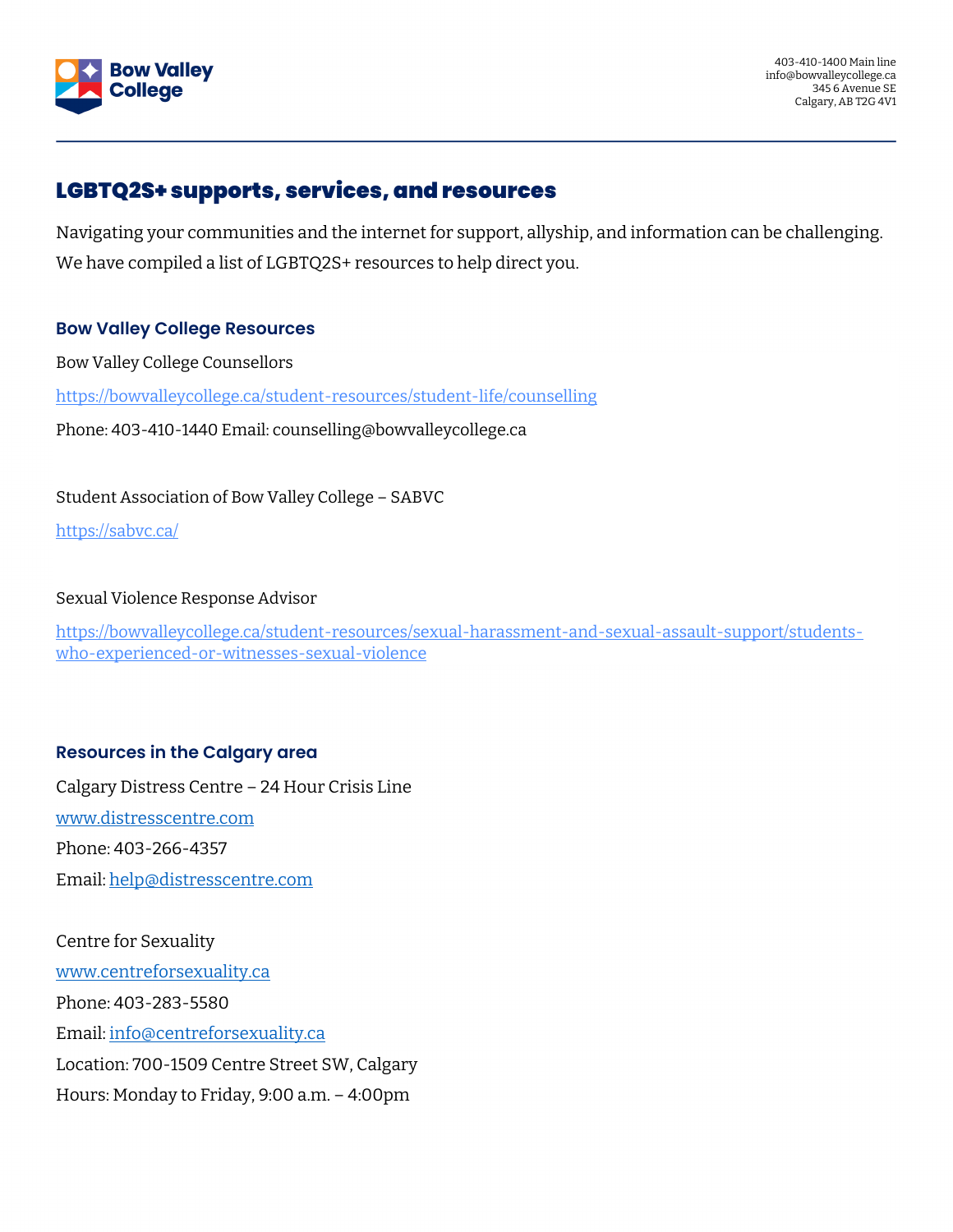

## LGBTQ2S+ supports, services, and resources

Navigating your communities and the internet for support, allyship, and information can be challenging. We have compiled a list of LGBTQ2S+ resources to help direct you.

### **Bow Valley College Resources**

Bow Valley College Counsellors

<https://bowvalleycollege.ca/student-resources/student-life/counselling>

Phone: 403-410-1440 Email: counselling@bowvalleycollege.ca

Student Association of Bow Valley College – SABVC

<https://sabvc.ca/>

#### Sexual Violence Response Advisor

[https://bowvalleycollege.ca/student-resources/sexual-harassment-and-sexual-assault-support/students](https://bowvalleycollege.ca/student-resources/sexual-harassment-and-sexual-assault-support/students-who-experienced-or-witnesses-sexual-violence)[who-experienced-or-witnesses-sexual-violence](https://bowvalleycollege.ca/student-resources/sexual-harassment-and-sexual-assault-support/students-who-experienced-or-witnesses-sexual-violence)

### **Resources in the Calgary area**

Calgary Distress Centre – 24 Hour Crisis Line [www.distresscentre.com](http://www.distresscentre.com/) Phone: 403-266-4357 Email: [help@distresscentre.com](mailto:help@distresscentre.com)

Centre for Sexuality [www.centreforsexuality.ca](http://www.centreforsexuality.ca/)  Phone: 403-283-5580 Email: [info@centreforsexuality.ca](mailto:info@centreforsexuality.ca) Location: 700-1509 Centre Street SW, Calgary Hours: Monday to Friday, 9:00 a.m. – 4:00pm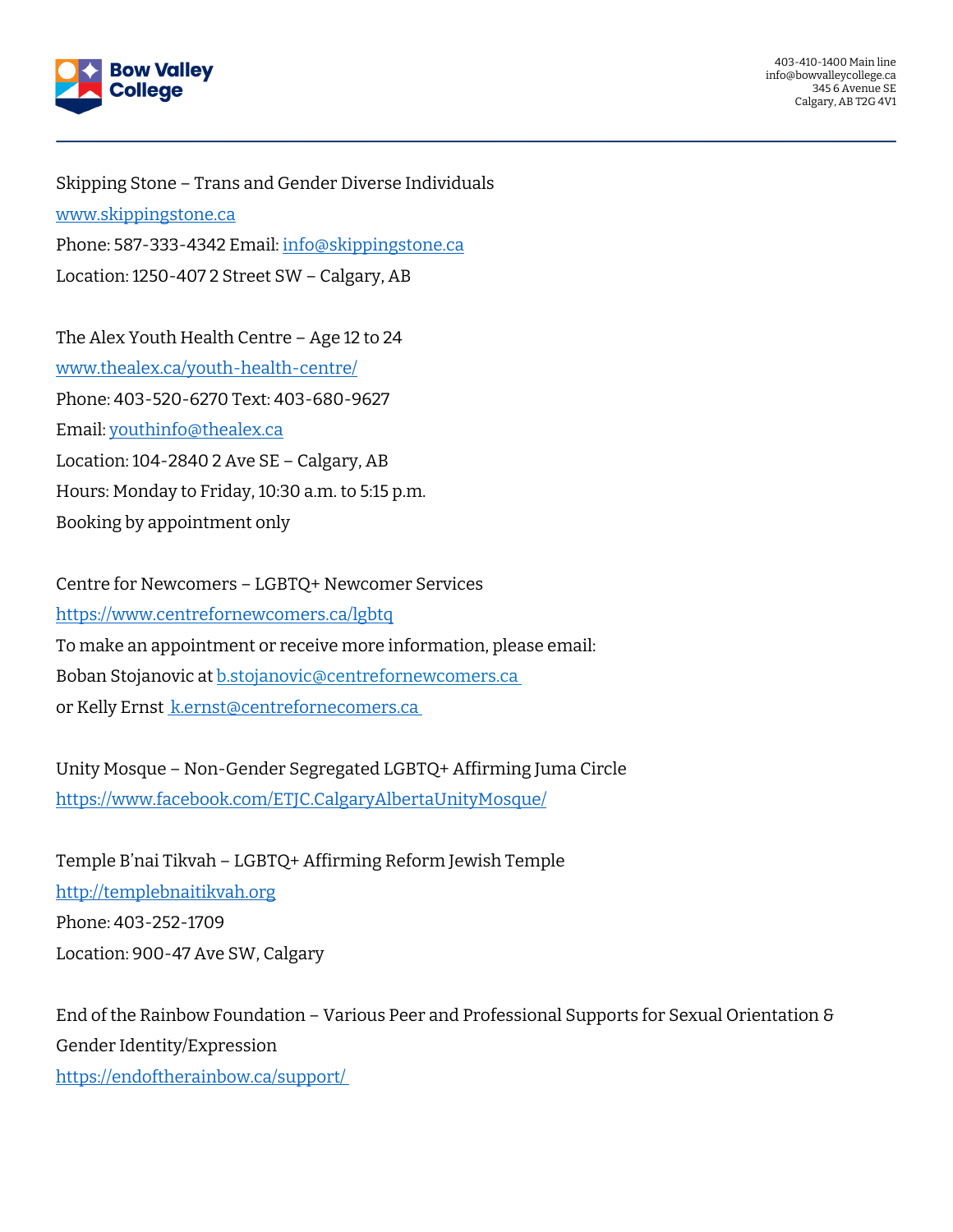

403-410-1400 Main line info@bowvalleycollege.ca 345 6 Avenue SE Calgary, AB T2G 4V1

Skipping Stone – Trans and Gender Diverse Individuals [www.skippingstone.ca](http://www.skippingstone.ca/) Phone: 587-333-4342 Email: [info@skippingstone.ca](mailto:info@skippingstone.ca) Location: 1250-407 2 Street SW – Calgary, AB

The Alex Youth Health Centre – Age 12 to 24 [www.thealex.ca/youth-health-centre/](http://www.thealex.ca/youth-health-centre/) Phone: 403-520-6270 Text: 403-680-9627 Email: [youthinfo@thealex.ca](mailto:youthinfo@thealex.ca) Location: 104-2840 2 Ave SE – Calgary, AB Hours: Monday to Friday, 10:30 a.m. to 5:15 p.m. Booking by appointment only

Centre for Newcomers – LGBTQ+ Newcomer Services <https://www.centrefornewcomers.ca/lgbtq> To make an appointment or receive more information, please email: Boban Stojanovic at [b.stojanovic@centrefornewcomers.ca](mailto:b.stojanovic@centrefornewcomers.ca) or Kelly Erns[t k.ernst@centrefornecomers.ca](mailto:at%C2%A0k.ernst@centrefornecomers.ca%C2%A0)

Unity Mosque – Non-Gender Segregated LGBTQ+ Affirming Juma Circle <https://www.facebook.com/ETJC.CalgaryAlbertaUnityMosque/>

Temple B'nai Tikvah – LGBTQ+ Affirming Reform Jewish Temple [http://templebnaitikvah.org](http://templebnaitikvah.org/) Phone: 403-252-1709 Location: 900-47 Ave SW, Calgary

End of the Rainbow Foundation – Various Peer and Professional Supports for Sexual Orientation & Gender Identity/Expression [https://endoftherainbow.ca/support/](https://endoftherainbow.ca/support/%C2%A0)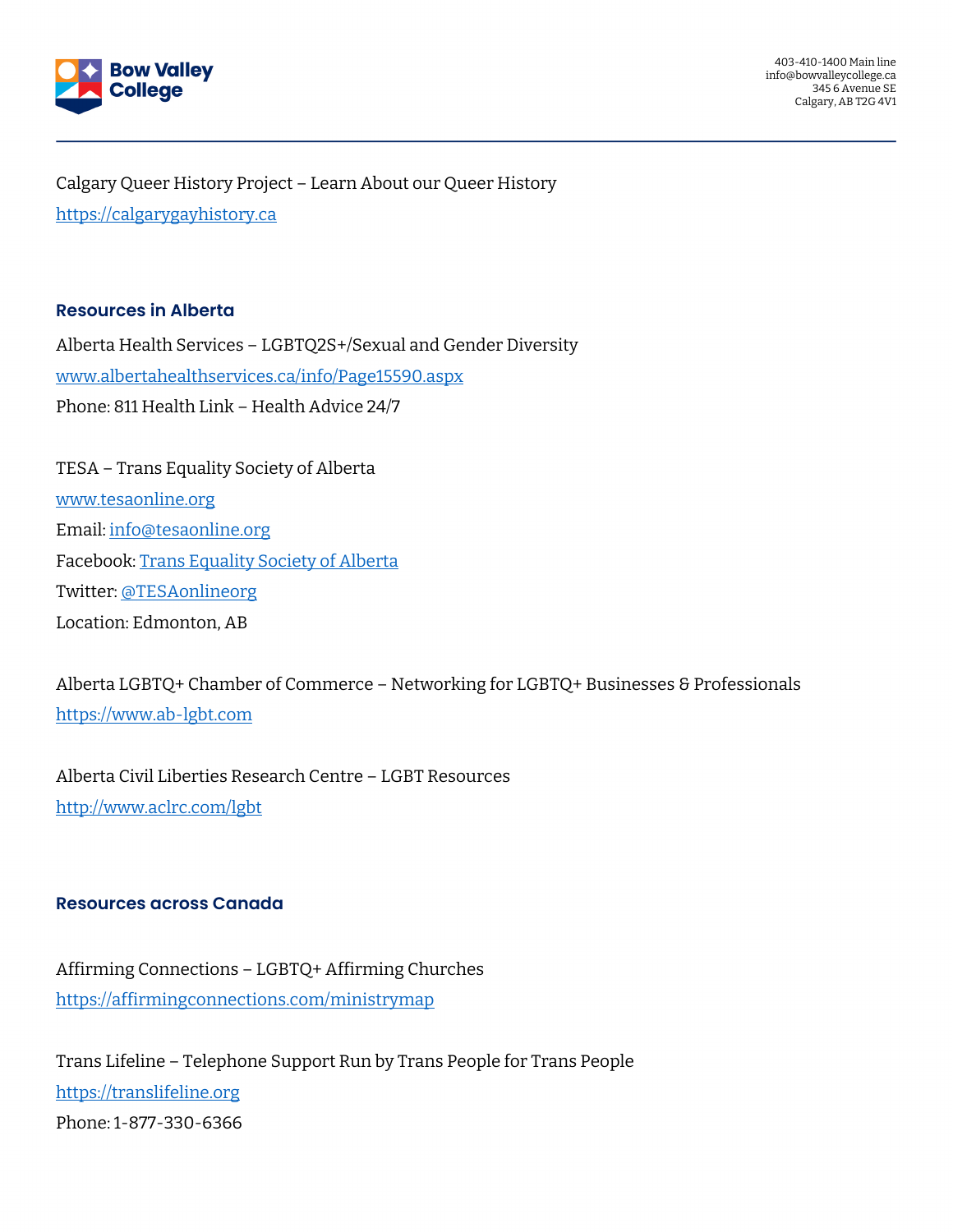

403-410-1400 Main line info@bowvalleycollege.ca 345 6 Avenue SE Calgary, AB T2G 4V1

Calgary Queer History Project – Learn About our Queer History [https://calgarygayhistory.ca](https://calgarygayhistory.ca/)

#### **Resources in Alberta**

Alberta Health Services – LGBTQ2S+/Sexual and Gender Diversity [www.albertahealthservices.ca/info/Page15590.aspx](http://www.albertahealthservices.ca/info/Page15590.aspx) Phone: 811 Health Link – Health Advice 24/7

TESA – Trans Equality Society of Alberta [www.tesaonline.org](http://www.tesaonline.org/) Email: [info@tesaonline.org](mailto:info@tesaonline.org) Facebook: [Trans Equality Society of Alberta](https://www.facebook.com/pages/Trans-Equality-Society-of-Alberta/129747467100473) Twitter: [@TESAonlineorg](https://twitter.com/tesaonlineorg) Location: Edmonton, AB

Alberta LGBTQ+ Chamber of Commerce – Networking for LGBTQ+ Businesses & Professionals [https://www.ab-lgbt.com](https://www.ab-lgbt.com/)

Alberta Civil Liberties Research Centre – LGBT Resources <http://www.aclrc.com/lgbt>

#### **Resources across Canada**

Affirming Connections – LGBTQ+ Affirming Churches <https://affirmingconnections.com/ministrymap>

Trans Lifeline – Telephone Support Run by Trans People for Trans People [https://translifeline.org](https://translifeline.org/) Phone: 1-877-330-6366